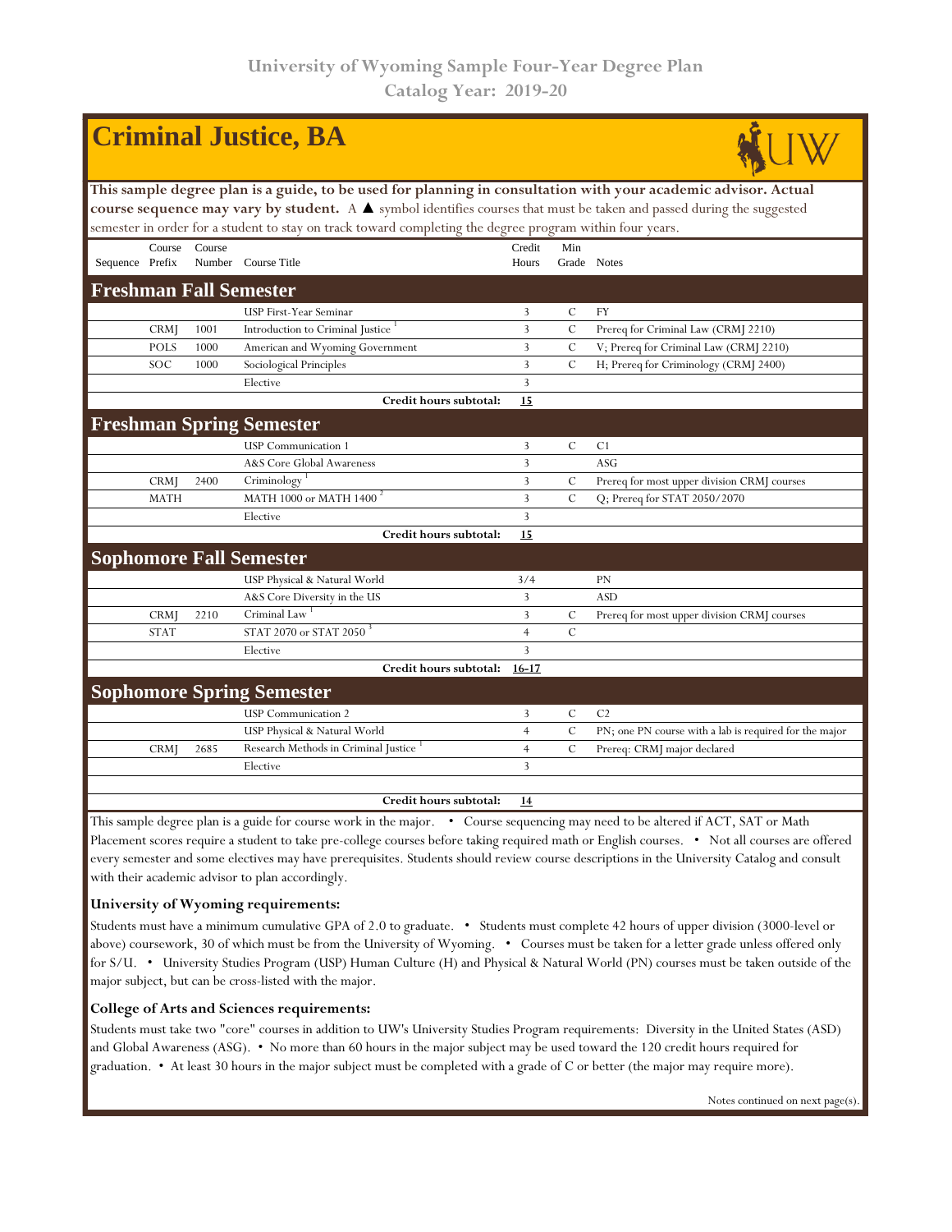|                                                                                                                                 |             |        | <b>Criminal Justice, BA</b>          |                |               |                                                        |  |  |  |  |  |  |
|---------------------------------------------------------------------------------------------------------------------------------|-------------|--------|--------------------------------------|----------------|---------------|--------------------------------------------------------|--|--|--|--|--|--|
| This sample degree plan is a guide, to be used for planning in consultation with your academic advisor. Actual                  |             |        |                                      |                |               |                                                        |  |  |  |  |  |  |
| course sequence may vary by student. A A symbol identifies courses that must be taken and passed during the suggested           |             |        |                                      |                |               |                                                        |  |  |  |  |  |  |
| semester in order for a student to stay on track toward completing the degree program within four years.                        |             |        |                                      |                |               |                                                        |  |  |  |  |  |  |
|                                                                                                                                 | Course      | Course |                                      | Credit         | Min           |                                                        |  |  |  |  |  |  |
| Sequence Prefix                                                                                                                 |             |        | Number Course Title                  | Hours          | Grade Notes   |                                                        |  |  |  |  |  |  |
| <b>Freshman Fall Semester</b>                                                                                                   |             |        |                                      |                |               |                                                        |  |  |  |  |  |  |
|                                                                                                                                 |             |        | USP First-Year Seminar               | 3              | $\mathcal{C}$ | FY                                                     |  |  |  |  |  |  |
|                                                                                                                                 | <b>CRM</b>  | 1001   | Introduction to Criminal Justice     | $\overline{3}$ | $\mathbf C$   | Prereq for Criminal Law (CRMJ 2210)                    |  |  |  |  |  |  |
|                                                                                                                                 | <b>POLS</b> | 1000   | American and Wyoming Government      | 3              | $\mathcal{C}$ | V; Prereq for Criminal Law (CRMJ 2210)                 |  |  |  |  |  |  |
|                                                                                                                                 | SOC         | 1000   | Sociological Principles              | $\mathbf{3}$   | $\mathbf C$   | H; Prereq for Criminology (CRMJ 2400)                  |  |  |  |  |  |  |
|                                                                                                                                 |             |        | Elective                             | 3              |               |                                                        |  |  |  |  |  |  |
|                                                                                                                                 |             |        | Credit hours subtotal:               | 15             |               |                                                        |  |  |  |  |  |  |
|                                                                                                                                 |             |        | <b>Freshman Spring Semester</b>      |                |               |                                                        |  |  |  |  |  |  |
|                                                                                                                                 |             |        | <b>USP</b> Communication 1           | 3              | $\mathcal{C}$ | C1                                                     |  |  |  |  |  |  |
|                                                                                                                                 |             |        | A&S Core Global Awareness            | $\overline{3}$ |               | ASG                                                    |  |  |  |  |  |  |
|                                                                                                                                 | <b>CRM</b>  | 2400   | Criminology <sup>1</sup>             | 3              | C             | Prereq for most upper division CRMJ courses            |  |  |  |  |  |  |
|                                                                                                                                 | <b>MATH</b> |        | MATH 1000 or MATH 1400 <sup>2</sup>  | $\mathbf{3}$   | $\mathcal{C}$ | Q; Prereq for STAT 2050/2070                           |  |  |  |  |  |  |
|                                                                                                                                 |             |        | Elective                             | $\overline{3}$ |               |                                                        |  |  |  |  |  |  |
|                                                                                                                                 |             |        | Credit hours subtotal:               | 15             |               |                                                        |  |  |  |  |  |  |
|                                                                                                                                 |             |        | <b>Sophomore Fall Semester</b>       |                |               |                                                        |  |  |  |  |  |  |
|                                                                                                                                 |             |        | USP Physical & Natural World         | 3/4            |               | <b>PN</b>                                              |  |  |  |  |  |  |
|                                                                                                                                 |             |        | A&S Core Diversity in the US         | 3              |               | <b>ASD</b>                                             |  |  |  |  |  |  |
|                                                                                                                                 | CRMJ        | 2210   | Criminal Law                         | $\overline{3}$ | $\mathbf C$   | Prereq for most upper division CRMJ courses            |  |  |  |  |  |  |
|                                                                                                                                 | <b>STAT</b> |        | STAT 2070 or STAT 2050 <sup>3</sup>  | $\overline{4}$ | $\mathcal{C}$ |                                                        |  |  |  |  |  |  |
|                                                                                                                                 |             |        | Elective                             | 3              |               |                                                        |  |  |  |  |  |  |
|                                                                                                                                 |             |        | Credit hours subtotal:               | $16 - 17$      |               |                                                        |  |  |  |  |  |  |
|                                                                                                                                 |             |        | <b>Sophomore Spring Semester</b>     |                |               |                                                        |  |  |  |  |  |  |
|                                                                                                                                 |             |        | <b>USP</b> Communication 2           | 3              | $\mathcal{C}$ | C <sub>2</sub>                                         |  |  |  |  |  |  |
|                                                                                                                                 |             |        | USP Physical & Natural World         | $\overline{4}$ | $\mathcal{C}$ | PN; one PN course with a lab is required for the major |  |  |  |  |  |  |
|                                                                                                                                 | CRM]        | 2685   | Research Methods in Criminal Justice | $\overline{4}$ | $\mathbf C$   | Prereq: CRMJ major declared                            |  |  |  |  |  |  |
|                                                                                                                                 |             |        | Elective                             | 3              |               |                                                        |  |  |  |  |  |  |
|                                                                                                                                 |             |        |                                      |                |               |                                                        |  |  |  |  |  |  |
|                                                                                                                                 |             |        | Credit hours subtotal:               | 14             |               |                                                        |  |  |  |  |  |  |
| This sample degree plan is a guide for course work in the major. • Course sequencing may need to be altered if ACT, SAT or Math |             |        |                                      |                |               |                                                        |  |  |  |  |  |  |

Placement scores require a student to take pre-college courses before taking required math or English courses. • Not all courses are offered every semester and some electives may have prerequisites. Students should review course descriptions in the University Catalog and consult with their academic advisor to plan accordingly.

## **University of Wyoming requirements:**

Students must have a minimum cumulative GPA of 2.0 to graduate. • Students must complete 42 hours of upper division (3000-level or above) coursework, 30 of which must be from the University of Wyoming. • Courses must be taken for a letter grade unless offered only for S/U. • University Studies Program (USP) Human Culture (H) and Physical & Natural World (PN) courses must be taken outside of the major subject, but can be cross-listed with the major.

## **College of Arts and Sciences requirements:**

Students must take two "core" courses in addition to UW's University Studies Program requirements: Diversity in the United States (ASD) and Global Awareness (ASG). • No more than 60 hours in the major subject may be used toward the 120 credit hours required for graduation. • At least 30 hours in the major subject must be completed with a grade of C or better (the major may require more).